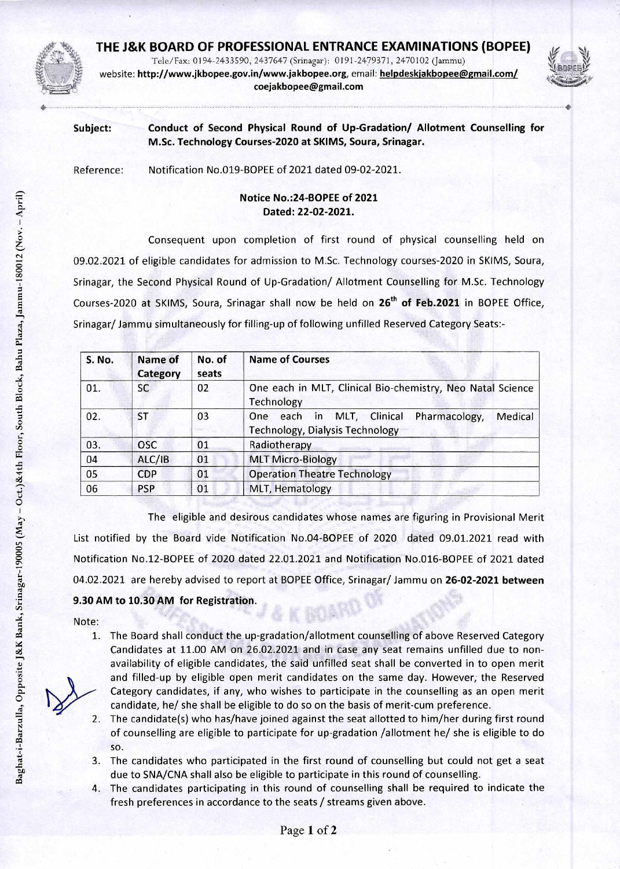

## **THE J&K BOARD OF PROFESSIONAL ENTRANCE EXAMINATIONS (BOPEE)**

Tele/Fax: 0194-2433590, 2437647 (Srinagar): 0191-2479371, 2470102 (Jammu) website: http://www.jkbopee.gov.in/wwwjakbopee.org,email: **helpdeskjakbopee@gmail.com/ coejakbopee@gmail.com** 



**Subject: Conduct of Second Physical Round of Up-Gradation/ Allotment Counselling for M.Sc. Technology Courses-2020 at SKIMS, Soura, Srinagar.** 

Reference: Notification No.019-BOPEE of 2021 dated 09-02-2021.

## **Notice No.:24-BOPEE of 2021 Dated: 22-02-2021.**

Consequent upon completion of first round of physical counselling held on 09.02.2021 of eligible candidates for admission to M.Sc. Technology courses-2020 in SKIMS, Soura, Srinagar, the Second Physical Round of Up-Gradation/ Allotment Counselling for M.Sc. Technology Courses-2020 at SKIMS, Soura, Srinagar shall now be held on 26<sup>th</sup> of Feb.2021 in BOPEE Office, Srinagar/ Jammu simultaneously for filling-up of following unfilled Reserved Category Seats:-

| <b>S. No.</b> | Name of<br><b>Category</b> | No. of<br>seats | <b>Name of Courses</b>                                                                                   |
|---------------|----------------------------|-----------------|----------------------------------------------------------------------------------------------------------|
| 01.           | SC                         | 02              | One each in MLT, Clinical Bio-chemistry, Neo Natal Science<br>Technology                                 |
| 02.           | ST                         | 03              | Medical<br>MLT, Clinical<br>Pharmacology,<br>One<br>each<br>in<br><b>Technology, Dialysis Technology</b> |
| 03.           | <b>OSC</b>                 | 01              | Radiotherapy                                                                                             |
| 04            | ALC/IB                     | 01              | <b>MLT Micro-Biology</b>                                                                                 |
| 05            | <b>CDP</b>                 | 01              | <b>Operation Theatre Technology</b>                                                                      |
| 06            | <b>PSP</b>                 | 01              | MLT, Hematology                                                                                          |

The eligible and desirous candidates whose names are figuring in Provisional Merit List notified by the Board vide Notification No.04-BOPEE of 2020 dated 09.01.2021 read with Notification No.12-BOPEE of 2020 dated 22.01.2021 and Notification No.016-BOPEE of 2021 dated 04.02.2021 are hereby advised to report at BOPEE Office, Srinagar/ Jammu on **26-02-2021 between 9.30 AM to 10.30 AM for Registration.** 

Note:

- 1. The Board shall conduct the up-gradation/allotment counselling of above Reserved Category Candidates at 11.00 AM on 26.02.2021 and in case any seat remains unfilled due to nonavailability of eligible candidates, the said unfilled seat shall be converted in to open merit and filled-up by eligible open merit candidates on the same day. However, the Reserved Category candidates, if any, who wishes to participate in the counselling as an open merit candidate, he/ she shall be eligible to do so on the basis of merit-cum preference.
- 2. The candidate(s) who has/have joined against the seat allotted to him/her during first round of counselling are eligible to participate for up-gradation /allotment he/ she is eligible to do so.
- 3. The candidates who participated in the first round of counselling but could not get a seat due to SNA/CNA shall also be eligible to participate in this round of counselling.
- 4. The candidates participating in this round of counselling shall be required to indicate the fresh preferences in accordance to the seats / streams given above.